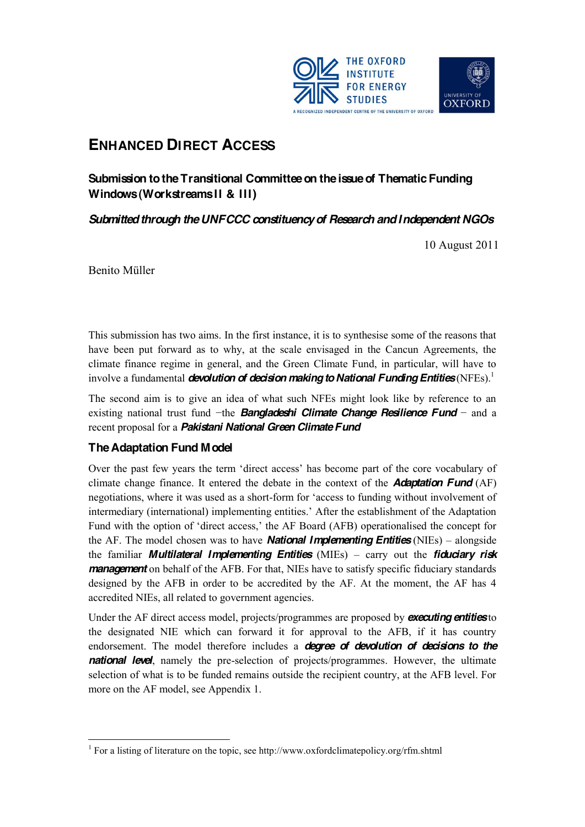

# **ENHANCED DIRECT ACCESS**

# **Submission to the Transitional Committee on the issue of Thematic Funding Windows (Workstreams II & III)**

# *Submitted through the UNFCCC constituency of Research and Independent NGOs*

10 August 2011

Benito Müller

This submission has two aims. In the first instance, it is to synthesise some of the reasons that have been put forward as to why, at the scale envisaged in the Cancun Agreements, the climate finance regime in general, and the Green Climate Fund, in particular, will have to involve a fundamental *devolution of decision making to National Funding Entities* (NFEs).<sup>1</sup>

The second aim is to give an idea of what such NFEs might look like by reference to an existing national trust fund  $-\text{the}$  **Bangladeshi Climate Change Resilience Fund** – and a recent proposal for a *Pakistani National Green Climate Fund*

# **The Adaptation Fund Model**

Over the past few vears the term 'direct access' has become part of the core vocabulary of climate change finance. It entered the debate in the context of the *Adaptation Fund* (AF) negotiations, where it was used as a short-form for 'access to funding without involvement of intermediary (international) implementing entities.' After the establishment of the Adaptation Fund with the option of 'direct access,' the AF Board (AFB) operationalised the concept for the AF. The model chosen was to have **National Implementing Entities** (NIEs) – alongside the familiar *Multilateral Implementing Entities* (MIEs) – carry out the *fiduciary risk management* on behalf of the AFB. For that, NIEs have to satisfy specific fiduciary standards designed by the AFB in order to be accredited by the AF. At the moment, the AF has 4 accredited NIEs, all related to government agencies.

Under the AF direct access model, projects/programmes are proposed by *executing entities*to the designated NIE which can forward it for approval to the AFB, if it has country endorsement. The model therefore includes a *degree of devolution of decisions to the national level*, namely the pre-selection of projects/programmes. However, the ultimate selection of what is to be funded remains outside the recipient country, at the AFB level. For more on the AF model, see Appendix 1.

<sup>&</sup>lt;sup>1</sup> For a listing of literature on the topic, see http://www.oxfordclimatepolicy.org/rfm.shtml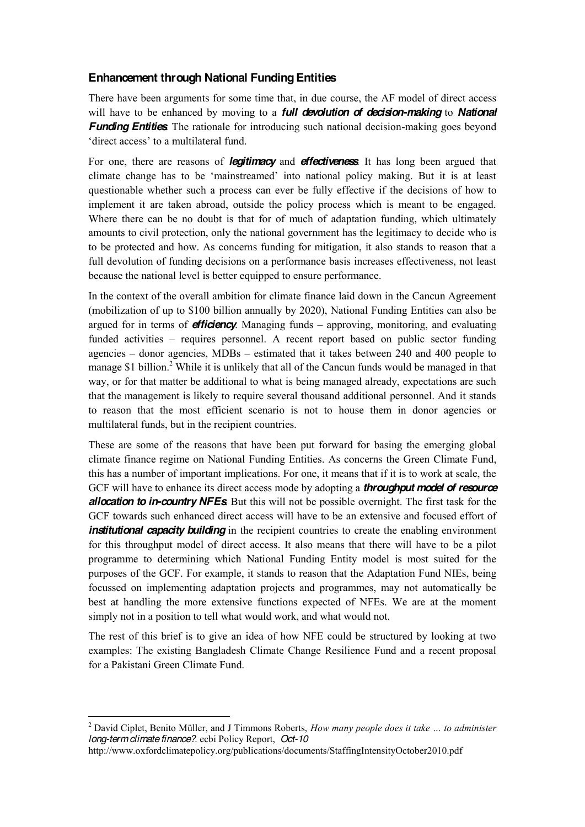### **Enhancement through National Funding Entities**

There have been arguments for some time that, in due course, the AF model of direct access will have to be enhanced by moving to a *full devolution of decision-making* to *National Funding Entities*. The rationale for introducing such national decision-making goes beyond 'direct access' to a multilateral fund.

For one, there are reasons of *legitimacy* and *effectiveness*. It has long been argued that climate change has to be 'mainstreamed' into national policy making. But it is at least questionable whether such a process can ever be fully effective if the decisions of how to implement it are taken abroad, outside the policy process which is meant to be engaged. Where there can be no doubt is that for of much of adaptation funding, which ultimately amounts to civil protection, only the national government has the legitimacy to decide who is to be protected and how. As concerns funding for mitigation, it also stands to reason that a full devolution of funding decisions on a performance basis increases effectiveness, not least because the national level is better equipped to ensure performance.

In the context of the overall ambition for climate finance laid down in the Cancun Agreement (mobilization of up to \$100 billion annually by 2020), National Funding Entities can also be argued for in terms of **efficiency**. Managing funds – approving, monitoring, and evaluating funded activities – requires personnel. A recent report based on public sector funding agencies  $-$  donor agencies, MDBs  $-$  estimated that it takes between 240 and 400 people to manage \$1 billion.<sup>2</sup> While it is unlikely that all of the Cancun funds would be managed in that way, or for that matter be additional to what is being managed already, expectations are such that the management is likely to require several thousand additional personnel. And it stands to reason that the most efficient scenario is not to house them in donor agencies or multilateral funds, but in the recipient countries.

These are some of the reasons that have been put forward for basing the emerging global climate finance regime on National Funding Entities. As concerns the Green Climate Fund, this has a number of important implications. For one, it means that if it is to work at scale, the GCF will have to enhance its direct access mode by adopting a *throughput model of resource allocation to in-country NFEs*. But this will not be possible overnight. The first task for the GCF towards such enhanced direct access will have to be an extensive and focused effort of *institutional capacity building* in the recipient countries to create the enabling environment for this throughput model of direct access. It also means that there will have to be a pilot programme to determining which National Funding Entity model is most suited for the purposes of the GCF. For example, it stands to reason that the Adaptation Fund NIEs, being focussed on implementing adaptation projects and programmes, may not automatically be best at handling the more extensive functions expected of NFEs. We are at the moment simply not in a position to tell what would work, and what would not.

The rest of this brief is to give an idea of how NFE could be structured by looking at two examples: The existing Bangladesh Climate Change Resilience Fund and a recent proposal for a Pakistani Green Climate Fund.

<sup>&</sup>lt;sup>2</sup> David Ciplet, Benito Müller, and J Timmons Roberts, *How many people does it take ... to administer long-term climate finance?*. ecbi Policy Report, *Oct-10*

http://www.oxfordclimatepolicy.org/publications/documents/StaffingIntensityOctober2010.pdf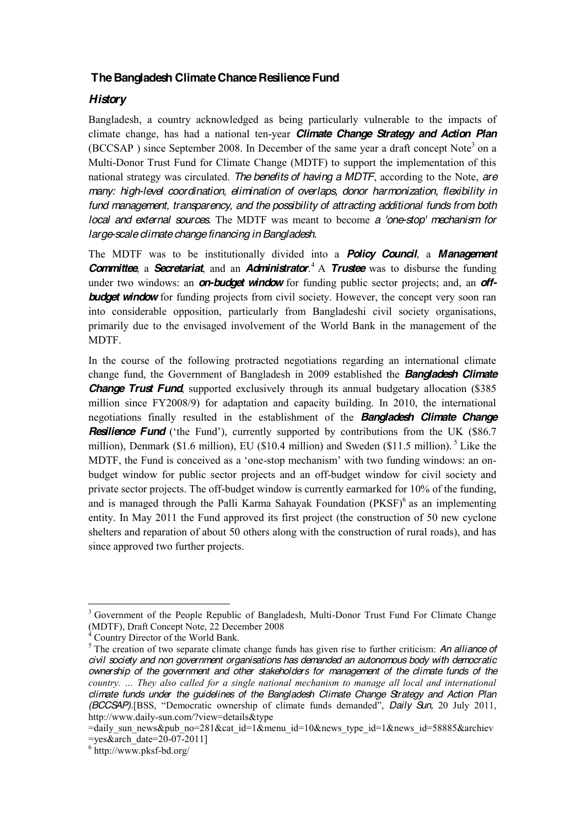### **The Bangladesh Climate Chance Resilience Fund**

### *History*

Bangladesh, a country acknowledged as being particularly vulnerable to the impacts of climate change, has had a national ten-year *Climate Change Strategy and Action Plan* (BCCSAP) since September 2008. In December of the same year a draft concept Note<sup>3</sup> on a Multi-Donor Trust Fund for Climate Change (MDTF) to support the implementation of this national strategy was circulated. *The benefits of having a MDTF*, according to the Note, *are many: high-level coordination, elimination of overlaps, donor harmonization, flexibility in fund management, transparency, and the possibility of attracting additional funds from both local and external sources.* The MDTF was meant to become *a 'one-stop' mechanism for large-scale climate change financing in Bangladesh.*

The MDTF was to be institutionally divided into a *Policy Council*, a *Management Committee*, a *Secretariat*, and an *Administrator*. <sup>4</sup> A *Trustee* was to disburse the funding under two windows: an *on-budget window* for funding public sector projects; and, an *off***budget window** for funding projects from civil society. However, the concept very soon ran into considerable opposition, particularly from Bangladeshi civil society organisations, primarily due to the envisaged involvement of the World Bank in the management of the MDTF.

In the course of the following protracted negotiations regarding an international climate change fund, the Government of Bangladesh in 2009 established the *Bangladesh Climate*  **Change Trust Fund**, supported exclusively through its annual budgetary allocation (\$385) million since FY2008/9) for adaptation and capacity building. In 2010, the international negotiations finally resulted in the establishment of the *Bangladesh Climate Change*  **Resilience Fund** ('the Fund'), currently supported by contributions from the UK (\$86.7) million), Denmark (\$1.6 million), EU (\$10.4 million) and Sweden (\$11.5 million).  $5$  Like the MDTF, the Fund is conceived as a 'one-stop mechanism' with two funding windows: an onbudget window for public sector projects and an off-budget window for civil society and private sector projects. The off-budget window is currently earmarked for 10% of the funding, and is managed through the Palli Karma Sahayak Foundation  $(PKSF)^6$  as an implementing entity. In May 2011 the Fund approved its first project (the construction of 50 new cyclone shelters and reparation of about 50 others along with the construction of rural roads), and has since approved two further projects.

<sup>&</sup>lt;sup>3</sup> Government of the People Republic of Bangladesh, Multi-Donor Trust Fund For Climate Change (MDTF), Draft Concept Note, 22 December 2008

Country Director of the World Bank.

<sup>5</sup> The creation of two separate climate change funds has given rise to further criticism: *An alliance of civil society and non government organisations has demanded an autonomous body with democratic ownership of the government and other stakeholders for management of the climate funds of the FRIDUITY*, ... *They also called for a single national mechanism to manage all local and international climate funds under the guidelines of the Bangladesh Climate Change Strategy and Action Plan (BCCSAP).*[BSS, "Democratic ownership of climate funds demanded", *Daily Sun,* 20 July 2011, http://www.daily-sun.com/?view=details&type

<sup>=</sup>daily\_sun\_news&pub\_no=281&cat\_id=1&menu\_id=10&news\_type\_id=1&news\_id=58885&archiev  $=$ yes&arch\_date=20-07-2011]<br>  $\frac{6 \text{ http://www.pksf-bd.org/}}{20}$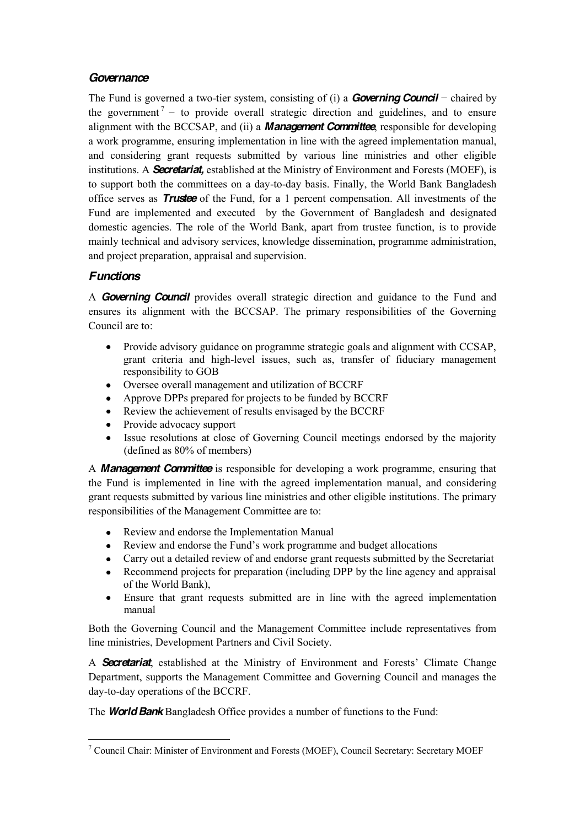### *Governance*

The Fund is governed a two-tier system, consisting of (i) a *Governing Council* – chaired by the government<sup>7</sup> – to provide overall strategic direction and guidelines, and to ensure alignment with the BCCSAP, and (ii) a *Management Committee*, responsible for developing a work programme, ensuring implementation in line with the agreed implementation manual, and considering grant requests submitted by various line ministries and other eligible institutions. A *Secretariat,* established at the Ministry of Environment and Forests (MOEF), is to support both the committees on a day-to-day basis. Finally, the World Bank Bangladesh office serves as *Trustee* of the Fund, for a 1 percent compensation. All investments of the Fund are implemented and executed by the Government of Bangladesh and designated domestic agencies. The role of the World Bank, apart from trustee function, is to provide mainly technical and advisory services, knowledge dissemination, programme administration, and project preparation, appraisal and supervision.

# *Functions*

A *Governing Council* provides overall strategic direction and guidance to the Fund and ensures its alignment with the BCCSAP. The primary responsibilities of the Governing Council are to:

- Provide advisory guidance on programme strategic goals and alignment with CCSAP, grant criteria and high-level issues, such as, transfer of fiduciary management responsibility to GOB
- Oversee overall management and utilization of BCCRF
- Approve DPPs prepared for projects to be funded by BCCRF  $\bullet$
- Review the achievement of results envisaged by the BCCRF
- Provide advocacy support
- Issue resolutions at close of Governing Council meetings endorsed by the majority (defined as 80% of members)

A *Management Committee* is responsible for developing a work programme, ensuring that the Fund is implemented in line with the agreed implementation manual, and considering grant requests submitted by various line ministries and other eligible institutions. The primary responsibilities of the Management Committee are to:

- $\bullet$ Review and endorse the Implementation Manual
- Review and endorse the Fund's work programme and budget allocations
- Carry out a detailed review of and endorse grant requests submitted by the Secretariat
- Recommend projects for preparation (including DPP by the line agency and appraisal  $\bullet$ of the World Bank),
- Ensure that grant requests submitted are in line with the agreed implementation  $\bullet$ manual

Both the Governing Council and the Management Committee include representatives from line ministries, Development Partners and Civil Society.

A **Secretariat**, established at the Ministry of Environment and Forests' Climate Change Department, supports the Management Committee and Governing Council and manages the day-to-day operations of the BCCRF.

The *World Bank* Bangladesh Office provides a number of functions to the Fund:

 <sup>7</sup> Council Chair: Minister of Environment and Forests (MOEF), Council Secretary: Secretary MOEF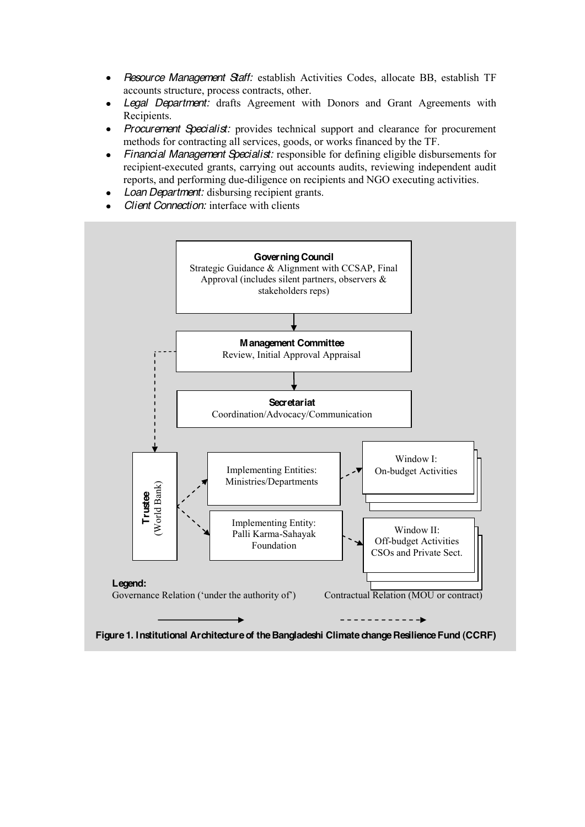- *Resource Management Staff:* establish Activities Codes, allocate BB, establish TF  $\bullet$ accounts structure, process contracts, other.
- *Legal Department:* drafts Agreement with Donors and Grant Agreements with  $\bullet$ Recipients.
- *Procurement Specialist:* provides technical support and clearance for procurement methods for contracting all services, goods, or works financed by the TF.
- *Financial Management Specialist:* responsible for defining eligible disbursements for  $\bullet$ recipient-executed grants, carrying out accounts audits, reviewing independent audit reports, and performing due-diligence on recipients and NGO executing activities.
- *Loan Department:* disbursing recipient grants.
- *Client Connection:* interface with clients



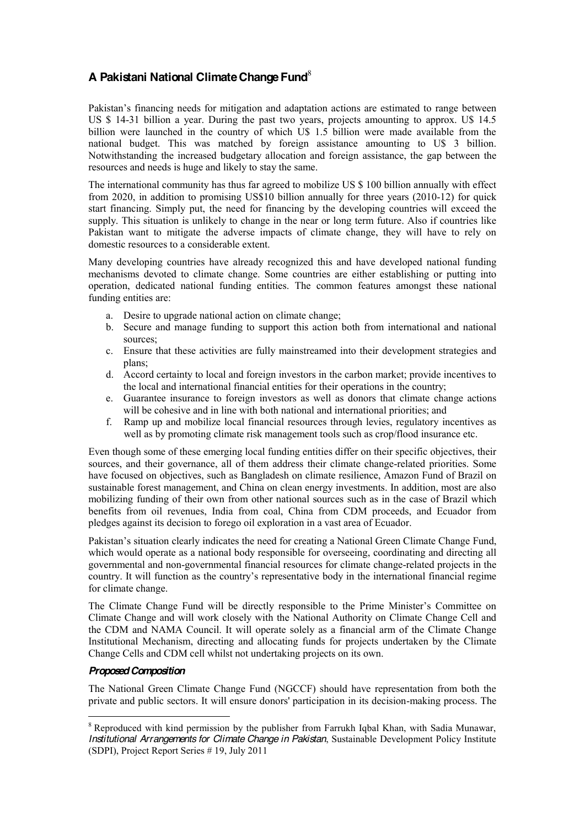### **A Pakistani National Climate Change Fund**<sup>8</sup>

Pakistan's financing needs for mitigation and adaptation actions are estimated to range between US \$ 14-31 billion a year. During the past two years, projects amounting to approx. U\$ 14.5 billion were launched in the country of which U\$ 1.5 billion were made available from the national budget. This was matched by foreign assistance amounting to U\$ 3 billion. Notwithstanding the increased budgetary allocation and foreign assistance, the gap between the resources and needs is huge and likely to stay the same.

The international community has thus far agreed to mobilize US \$ 100 billion annually with effect from 2020, in addition to promising US\$10 billion annually for three years (2010-12) for quick start financing. Simply put, the need for financing by the developing countries will exceed the supply. This situation is unlikely to change in the near or long term future. Also if countries like Pakistan want to mitigate the adverse impacts of climate change, they will have to rely on domestic resources to a considerable extent.

Many developing countries have already recognized this and have developed national funding mechanisms devoted to climate change. Some countries are either establishing or putting into operation, dedicated national funding entities. The common features amongst these national funding entities are:

- a. Desire to upgrade national action on climate change;
- b. Secure and manage funding to support this action both from international and national sources;
- c. Ensure that these activities are fully mainstreamed into their development strategies and plans;
- d. Accord certainty to local and foreign investors in the carbon market; provide incentives to the local and international financial entities for their operations in the country;
- e. Guarantee insurance to foreign investors as well as donors that climate change actions will be cohesive and in line with both national and international priorities; and
- f. Ramp up and mobilize local financial resources through levies, regulatory incentives as well as by promoting climate risk management tools such as crop/flood insurance etc.

Even though some of these emerging local funding entities differ on their specific objectives, their sources, and their governance, all of them address their climate change-related priorities. Some have focused on objectives, such as Bangladesh on climate resilience, Amazon Fund of Brazil on sustainable forest management, and China on clean energy investments. In addition, most are also mobilizing funding of their own from other national sources such as in the case of Brazil which benefits from oil revenues, India from coal, China from CDM proceeds, and Ecuador from pledges against its decision to forego oil exploration in a vast area of Ecuador.

Pakistan's situation clearly indicates the need for creating a National Green Climate Change Fund, which would operate as a national body responsible for overseeing, coordinating and directing all governmental and non-governmental financial resources for climate change-related projects in the country. It will function as the country's representative body in the international financial regime for climate change.

The Climate Change Fund will be directly responsible to the Prime Minister's Committee on Climate Change and will work closely with the National Authority on Climate Change Cell and the CDM and NAMA Council. It will operate solely as a financial arm of the Climate Change Institutional Mechanism, directing and allocating funds for projects undertaken by the Climate Change Cells and CDM cell whilst not undertaking projects on its own.

### *Proposed Composition*

The National Green Climate Change Fund (NGCCF) should have representation from both the private and public sectors. It will ensure donors' participation in its decision-making process. The

<sup>&</sup>lt;sup>8</sup> Reproduced with kind permission by the publisher from Farrukh Igbal Khan, with Sadia Munawar, *Institutional Arrangements for Climate Change in Pakistan*, Sustainable Development Policy Institute (SDPI), Project Report Series # 19, July 2011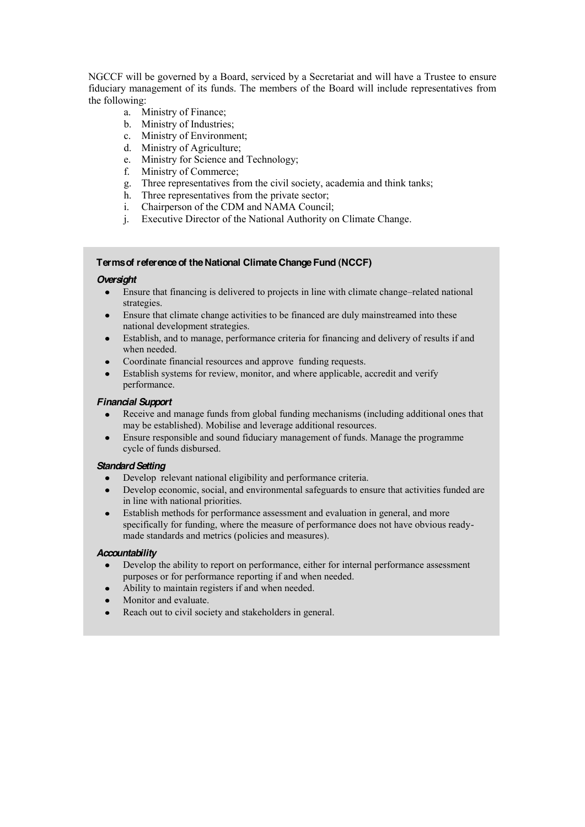NGCCF will be governed by a Board, serviced by a Secretariat and will have a Trustee to ensure fiduciary management of its funds. The members of the Board will include representatives from the following:

- a. Ministry of Finance;
- b. Ministry of Industries;
- c. Ministry of Environment;
- d. Ministry of Agriculture;
- e. Ministry for Science and Technology;<br>f. Ministry of Commerce;
- Ministry of Commerce;
- g. Three representatives from the civil society, academia and think tanks;
- h. Three representatives from the private sector;
- i. Chairperson of the CDM and NAMA Council;
- j. Executive Director of the National Authority on Climate Change.

#### **Terms of reference of the National Climate Change Fund (NCCF)**

#### *Oversight*

- Ensure that financing is delivered to projects in line with climate change–related national  $\bullet$ strategies.
- Ensure that climate change activities to be financed are duly mainstreamed into these  $\bullet$ national development strategies.
- Establish, and to manage, performance criteria for financing and delivery of results if and  $\bullet$ when needed.
- Coordinate financial resources and approve funding requests.  $\bullet$
- Establish systems for review, monitor, and where applicable, accredit and verify performance.

#### *Financial Support*

- Receive and manage funds from global funding mechanisms (including additional ones that  $\bullet$ may be established). Mobilise and leverage additional resources.
- Ensure responsible and sound fiduciary management of funds. Manage the programme  $\bullet$ cycle of funds disbursed.

#### *Standard Setting*

- Develop relevant national eligibility and performance criteria.  $\bullet$
- Develop economic, social, and environmental safeguards to ensure that activities funded are  $\bullet$ in line with national priorities.
- Establish methods for performance assessment and evaluation in general, and more  $\bullet$ specifically for funding, where the measure of performance does not have obvious readymade standards and metrics (policies and measures).

#### *Accountability*

- $\bullet$ Develop the ability to report on performance, either for internal performance assessment purposes or for performance reporting if and when needed.
- Ability to maintain registers if and when needed.  $\bullet$
- Monitor and evaluate.
- Reach out to civil society and stakeholders in general. $\bullet$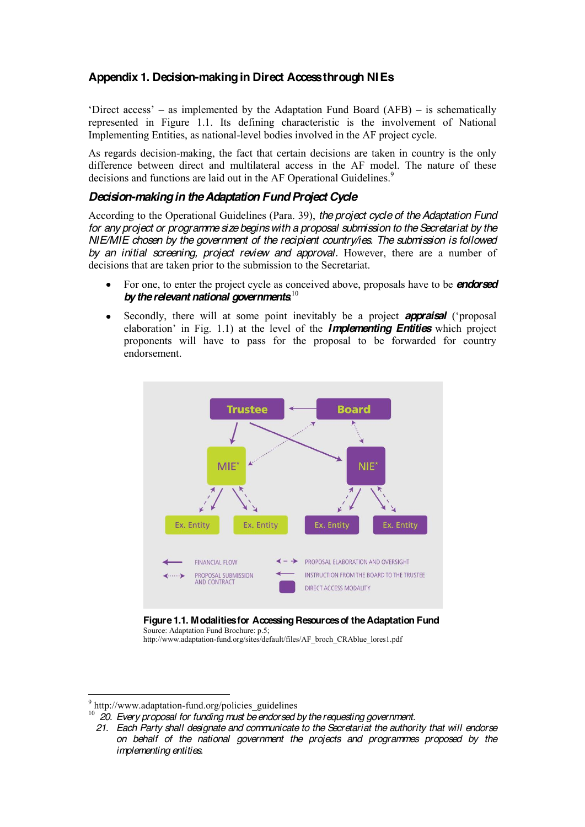### **Appendix 1. Decision-making in Direct Access through NIEs**

'Direct access'  $-$  as implemented by the Adaptation Fund Board (AFB)  $-$  is schematically represented in Figure 1.1. Its defining characteristic is the involvement of National Implementing Entities, as national-level bodies involved in the AF project cycle.

As regards decision-making, the fact that certain decisions are taken in country is the only difference between direct and multilateral access in the AF model. The nature of these decisions and functions are laid out in the AF Operational Guidelines.<sup>9</sup>

### *Decision-making in the Adaptation Fund Project Cycle*

According to the Operational Guidelines (Para. 39), *the project cycle of the Adaptation Fund for any project or programme size begins with a proposal submission to the Secretariat by the NIE/MIE chosen by the government of the recipient country/ies. The submission is followed*  by an initial screening, project review and approval. However, there are a number of decisions that are taken prior to the submission to the Secretariat.

- For one, to enter the project cycle as conceived above, proposals have to be *endorsed*  by the relevant national governments.<sup>10</sup>
- Secondly, there will at some point inevitably be a project **appraisal** ('proposal elaboration' in Fig. 1.1) at the level of the **Implementing Entities** which project proponents will have to pass for the proposal to be forwarded for country endorsement.



**Figure 1.1. Modalities for Accessing Resources of the Adaptation Fund** Source: Adaptation Fund Brochure: p.5;

http://www.adaptation-fund.org/sites/default/files/AF\_broch\_CRAblue\_lores1.pdf

<sup>&</sup>lt;sup>9</sup> http://www.adaptation-fund.org/policies\_guidelines<br><sup>10</sup> 20. Every proposal for funding must be endorsed by the requesting government.

 *<sup>21.</sup> Each Party shall designate and communicate to the Secretariat the authority that will endorse on behalf of the national government the projects and programmes proposed by the implementing entities.*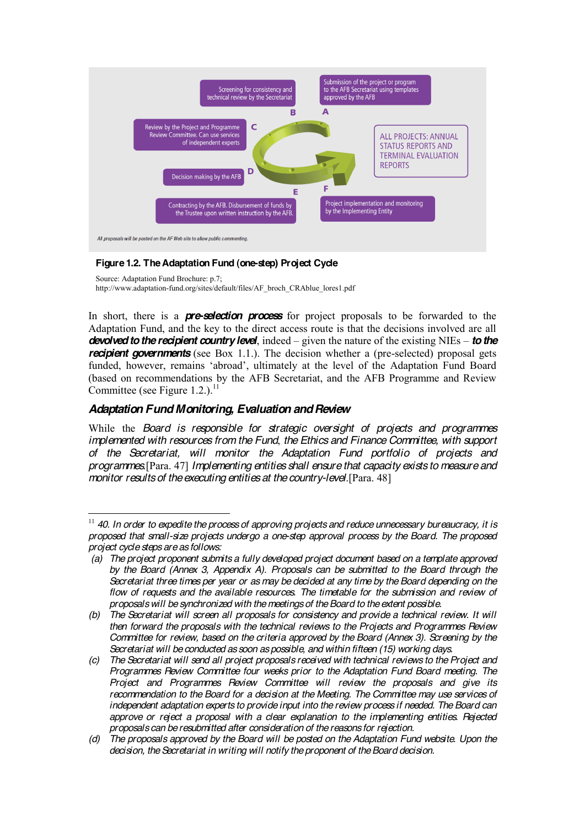

### **Figure 1.2. The Adaptation Fund (one-step) Project Cycle**

Source: Adaptation Fund Brochure: p.7; http://www.adaptation-fund.org/sites/default/files/AF\_broch\_CRAblue\_lores1.pdf

In short, there is a *pre-selection process* for project proposals to be forwarded to the Adaptation Fund, and the key to the direct access route is that the decisions involved are all *devolved to the recipient country level*, indeed – given the nature of the existing NIEs – *to the recipient governments* (see Box 1.1.). The decision whether a (pre-selected) proposal gets funded, however, remains 'abroad', ultimately at the level of the Adaptation Fund Board (based on recommendations by the AFB Secretariat, and the AFB Programme and Review Committee (see Figure 1.2.). $<sup>11</sup>$ </sup>

### *Adaptation Fund Monitoring, Evaluation and Review*

While the *Board is responsible for strategic oversight of projects and programmes implemented with resources from the Fund*, *the Ethics and Finance Committee, with support of the Secretariat, will monitor the Adaptation Fund portfolio of projects and programmes*.[Para. 47] *Implementing entities shall ensure that capacity exists to measure and monitor results of the executing entities at the country-level*.[Para. 48]

 <sup>11</sup> *40. In order to expedite the process of approving projects and reduce unnecessary bureaucracy, it is proposed that small-size projects undergo a one-step approval process by the Board. The proposed project cycle steps are as follows:*

*<sup>(</sup>a) The project proponent submits a fully developed project document based on a template approved by the Board (Annex 3, Appendix A). Proposals can be submitted to the Board through the Secretariat three times per year or as may be decided at any time by the Board depending on the flow of requests and the available resources. The timetable for the submission and review of proposals will be synchronized with the meetings of the Board to the extent possible.*

*<sup>(</sup>b)* The Secretariat will screen all proposals for consistency and provide a technical review. It will *then forward the proposals with the technical reviews to the Projects and Programmes Review Committee for review, based on the criteria approved by the Board (Annex 3). Screening by the Secretariat will be conducted as soon as possible, and within fifteen (15) working days.*

*<sup>(</sup>c) The Secretariat will send all project proposals received with technical reviews to the Project and Programmes Review Committee four weeks prior to the Adaptation Fund Board meeting. The Project and Programmes Review Committee will review the proposals and give its recommendation to the Board for a decision at the Meeting. The Committee may use services of independent adaptation experts to provide input into the review process if needed. The Board can approve or reject a proposal with a clear explanation to the implementing entities. Rejected proposals can be resubmitted after consideration of the reasons for rejection.*

*<sup>(</sup>d) The proposals approved by the Board will be posted on the Adaptation Fund website. Upon the decision, the Secretariat in writing will notify the proponent of the Board decision.*